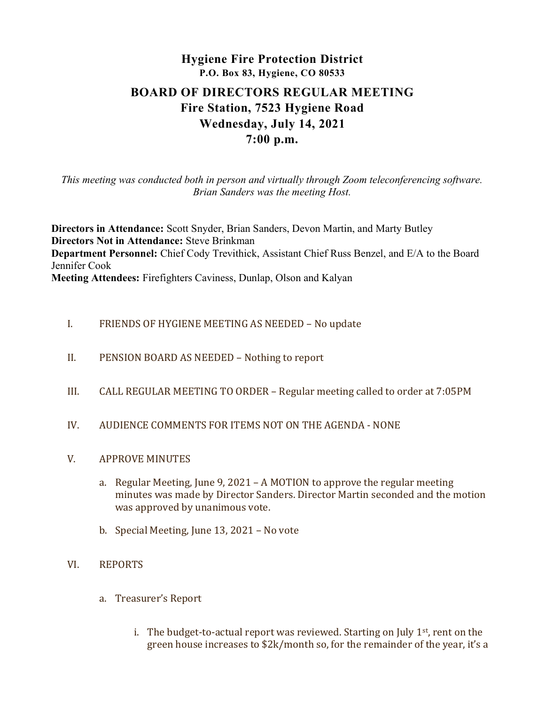# Hygiene Fire Protection District P.O. Box 83, Hygiene, CO 80533 BOARD OF DIRECTORS REGULAR MEETING Fire Station, 7523 Hygiene Road Wednesday, July 14, 2021 7:00 p.m.

This meeting was conducted both in person and virtually through Zoom teleconferencing software. Brian Sanders was the meeting Host.

Directors in Attendance: Scott Snyder, Brian Sanders, Devon Martin, and Marty Butley Directors Not in Attendance: Steve Brinkman Department Personnel: Chief Cody Trevithick, Assistant Chief Russ Benzel, and E/A to the Board Jennifer Cook Meeting Attendees: Firefighters Caviness, Dunlap, Olson and Kalyan

- I. FRIENDS OF HYGIENE MEETING AS NEEDED No update
- II. PENSION BOARD AS NEEDED Nothing to report
- III. CALL REGULAR MEETING TO ORDER Regular meeting called to order at 7:05PM
- IV. AUDIENCE COMMENTS FOR ITEMS NOT ON THE AGENDA NONE
- V. APPROVE MINUTES
	- a. Regular Meeting, June 9, 2021 A MOTION to approve the regular meeting minutes was made by Director Sanders. Director Martin seconded and the motion was approved by unanimous vote.
	- b. Special Meeting, June 13, 2021 No vote
- VI. REPORTS
	- a. Treasurer's Report
		- i. The budget-to-actual report was reviewed. Starting on July  $1<sup>st</sup>$ , rent on the green house increases to \$2k/month so, for the remainder of the year, it's a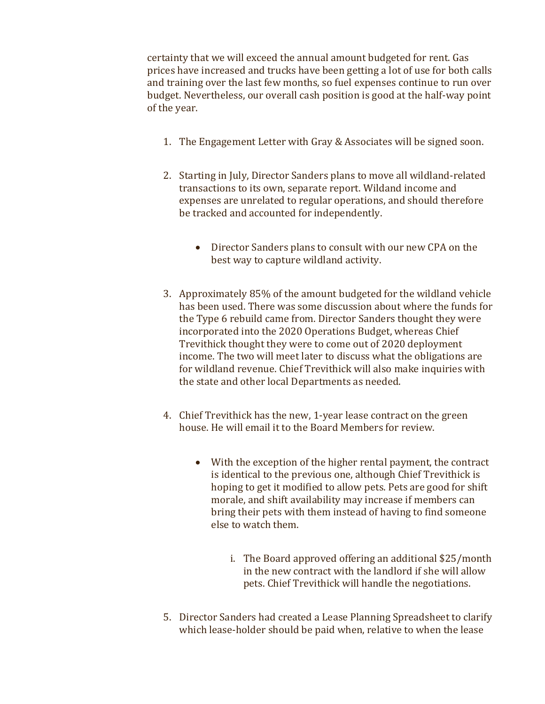certainty that we will exceed the annual amount budgeted for rent. Gas prices have increased and trucks have been getting a lot of use for both calls and training over the last few months, so fuel expenses continue to run over budget. Nevertheless, our overall cash position is good at the half-way point of the year.

- 1. The Engagement Letter with Gray & Associates will be signed soon.
- 2. Starting in July, Director Sanders plans to move all wildland-related transactions to its own, separate report. Wildand income and expenses are unrelated to regular operations, and should therefore be tracked and accounted for independently.
	- Director Sanders plans to consult with our new CPA on the best way to capture wildland activity.
- 3. Approximately 85% of the amount budgeted for the wildland vehicle has been used. There was some discussion about where the funds for the Type 6 rebuild came from. Director Sanders thought they were incorporated into the 2020 Operations Budget, whereas Chief Trevithick thought they were to come out of 2020 deployment income. The two will meet later to discuss what the obligations are for wildland revenue. Chief Trevithick will also make inquiries with the state and other local Departments as needed.
- 4. Chief Trevithick has the new, 1-year lease contract on the green house. He will email it to the Board Members for review.
	- With the exception of the higher rental payment, the contract is identical to the previous one, although Chief Trevithick is hoping to get it modified to allow pets. Pets are good for shift morale, and shift availability may increase if members can bring their pets with them instead of having to find someone else to watch them.
		- i. The Board approved offering an additional \$25/month in the new contract with the landlord if she will allow pets. Chief Trevithick will handle the negotiations.
- 5. Director Sanders had created a Lease Planning Spreadsheet to clarify which lease-holder should be paid when, relative to when the lease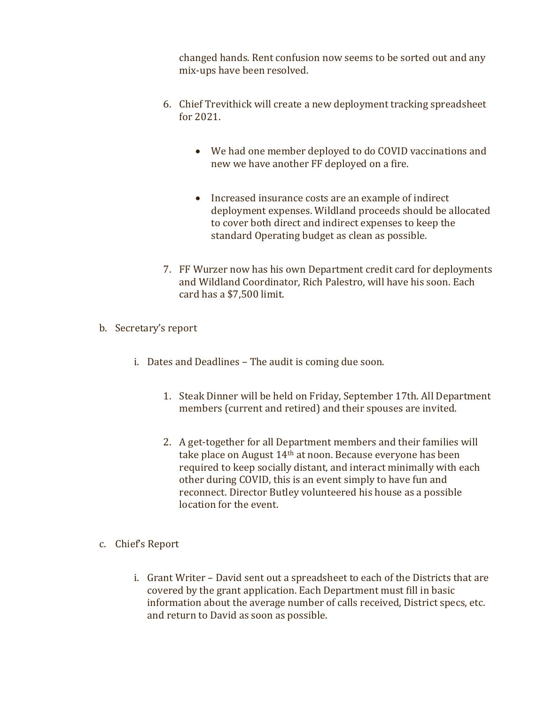changed hands. Rent confusion now seems to be sorted out and any mix-ups have been resolved.

- 6. Chief Trevithick will create a new deployment tracking spreadsheet for 2021.
	- We had one member deployed to do COVID vaccinations and new we have another FF deployed on a fire.
	- Increased insurance costs are an example of indirect deployment expenses. Wildland proceeds should be allocated to cover both direct and indirect expenses to keep the standard Operating budget as clean as possible.
- 7. FF Wurzer now has his own Department credit card for deployments and Wildland Coordinator, Rich Palestro, will have his soon. Each card has a \$7,500 limit.
- b. Secretary's report
	- i. Dates and Deadlines The audit is coming due soon.
		- 1. Steak Dinner will be held on Friday, September 17th. All Department members (current and retired) and their spouses are invited.
		- 2. A get-together for all Department members and their families will take place on August 14<sup>th</sup> at noon. Because everyone has been required to keep socially distant, and interact minimally with each other during COVID, this is an event simply to have fun and reconnect. Director Butley volunteered his house as a possible location for the event.
- c. Chief's Report
	- i. Grant Writer David sent out a spreadsheet to each of the Districts that are covered by the grant application. Each Department must fill in basic information about the average number of calls received, District specs, etc. and return to David as soon as possible.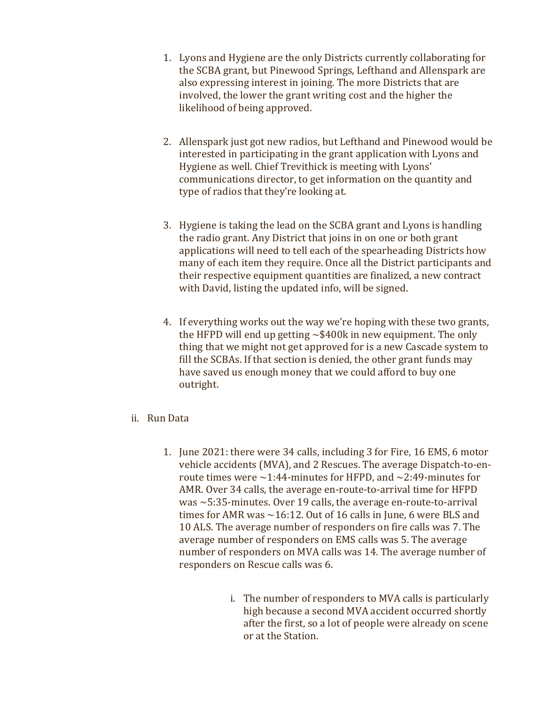- 1. Lyons and Hygiene are the only Districts currently collaborating for the SCBA grant, but Pinewood Springs, Lefthand and Allenspark are also expressing interest in joining. The more Districts that are involved, the lower the grant writing cost and the higher the likelihood of being approved.
- 2. Allenspark just got new radios, but Lefthand and Pinewood would be interested in participating in the grant application with Lyons and Hygiene as well. Chief Trevithick is meeting with Lyons' communications director, to get information on the quantity and type of radios that they're looking at.
- 3. Hygiene is taking the lead on the SCBA grant and Lyons is handling the radio grant. Any District that joins in on one or both grant applications will need to tell each of the spearheading Districts how many of each item they require. Once all the District participants and their respective equipment quantities are finalized, a new contract with David, listing the updated info, will be signed.
- 4. If everything works out the way we're hoping with these two grants, the HFPD will end up getting  $\sim$ \$400k in new equipment. The only thing that we might not get approved for is a new Cascade system to fill the SCBAs. If that section is denied, the other grant funds may have saved us enough money that we could afford to buy one outright.
- ii. Run Data
	- 1. June 2021: there were 34 calls, including 3 for Fire, 16 EMS, 6 motor vehicle accidents (MVA), and 2 Rescues. The average Dispatch-to-enroute times were  $\sim$ 1:44-minutes for HFPD, and  $\sim$ 2:49-minutes for AMR. Over 34 calls, the average en-route-to-arrival time for HFPD was ~5:35-minutes. Over 19 calls, the average en-route-to-arrival times for AMR was  $\sim$  16:12. Out of 16 calls in June, 6 were BLS and 10 ALS. The average number of responders on fire calls was 7. The average number of responders on EMS calls was 5. The average number of responders on MVA calls was 14. The average number of responders on Rescue calls was 6.
		- i. The number of responders to MVA calls is particularly high because a second MVA accident occurred shortly after the first, so a lot of people were already on scene or at the Station.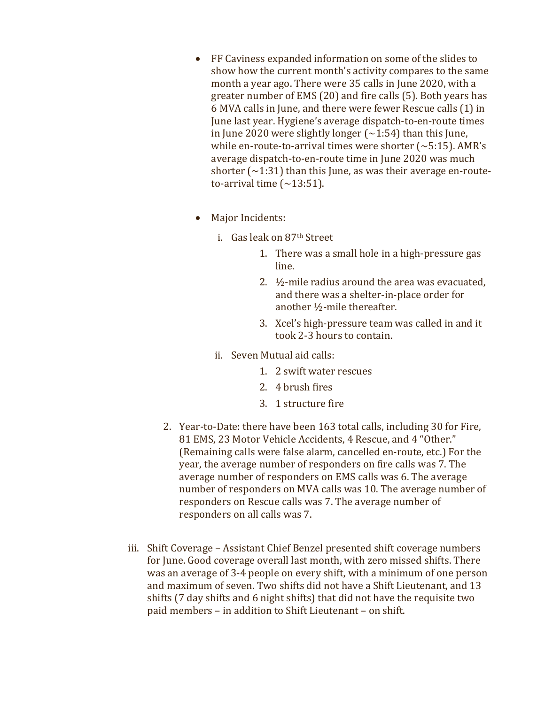- FF Caviness expanded information on some of the slides to show how the current month's activity compares to the same month a year ago. There were 35 calls in June 2020, with a greater number of EMS (20) and fire calls (5). Both years has 6 MVA calls in June, and there were fewer Rescue calls (1) in June last year. Hygiene's average dispatch-to-en-route times in June 2020 were slightly longer  $\left(\sim 1:54\right)$  than this June, while en-route-to-arrival times were shorter  $\sim$  5:15). AMR's average dispatch-to-en-route time in June 2020 was much shorter  $\left(\sim\right)$  1:31) than this June, as was their average en-routeto-arrival time  $(\sim 13:51)$ .
- Major Incidents:
	- i. Gas leak on 87th Street
		- 1. There was a small hole in a high-pressure gas line.
		- 2.  $\frac{1}{2}$ -mile radius around the area was evacuated, and there was a shelter-in-place order for another ½-mile thereafter.
		- 3. Xcel's high-pressure team was called in and it took 2-3 hours to contain.
	- ii. Seven Mutual aid calls:
		- 1. 2 swift water rescues
		- 2. 4 brush fires
		- 3. 1 structure fire
- 2. Year-to-Date: there have been 163 total calls, including 30 for Fire, 81 EMS, 23 Motor Vehicle Accidents, 4 Rescue, and 4 "Other." (Remaining calls were false alarm, cancelled en-route, etc.) For the year, the average number of responders on fire calls was 7. The average number of responders on EMS calls was 6. The average number of responders on MVA calls was 10. The average number of responders on Rescue calls was 7. The average number of responders on all calls was 7.
- iii. Shift Coverage Assistant Chief Benzel presented shift coverage numbers for June. Good coverage overall last month, with zero missed shifts. There was an average of 3-4 people on every shift, with a minimum of one person and maximum of seven. Two shifts did not have a Shift Lieutenant, and 13 shifts (7 day shifts and 6 night shifts) that did not have the requisite two paid members – in addition to Shift Lieutenant – on shift.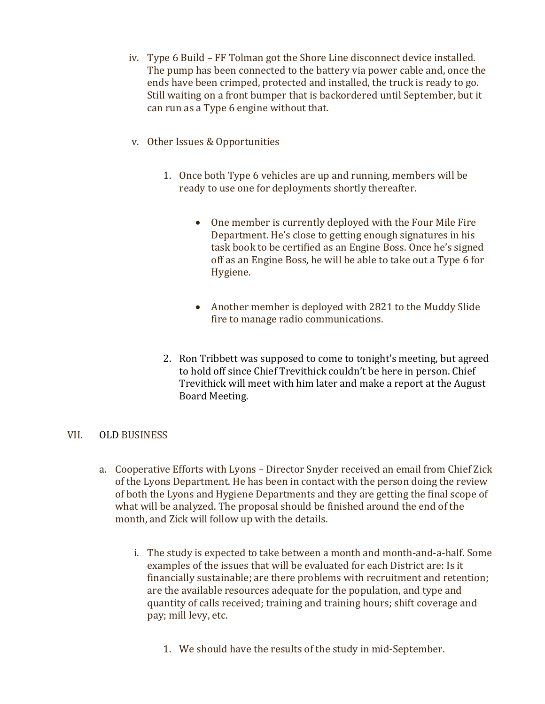- iv. Type 6 Build FF Tolman got the Shore Line disconnect device installed. The pump has been connected to the battery via power cable and, once the ends have been crimped, protected and installed, the truck is ready to go. Still waiting on a front bumper that is backordered until September, but it can run as a Type 6 engine without that.
- v. Other Issues & Opportunities
	- 1. Once both Type 6 vehicles are up and running, members will be ready to use one for deployments shortly thereafter.
		- One member is currently deployed with the Four Mile Fire Department. He's close to getting enough signatures in his task book to be certified as an Engine Boss. Once he's signed off as an Engine Boss, he will be able to take out a Type 6 for Hygiene.
		- Another member is deployed with 2821 to the Muddy Slide fire to manage radio communications.
	- 2. Ron Tribbett was supposed to come to tonight's meeting, but agreed to hold off since Chief Trevithick couldn't be here in person. Chief Trevithick will meet with him later and make a report at the August Board Meeting.

## VII. OLD BUSINESS

- a. Cooperative Efforts with Lyons Director Snyder received an email from Chief Zick of the Lyons Department. He has been in contact with the person doing the review of both the Lyons and Hygiene Departments and they are getting the final scope of what will be analyzed. The proposal should be finished around the end of the month, and Zick will follow up with the details.
	- i. The study is expected to take between a month and month-and-a-half. Some examples of the issues that will be evaluated for each District are: Is it financially sustainable; are there problems with recruitment and retention; are the available resources adequate for the population, and type and quantity of calls received; training and training hours; shift coverage and pay; mill levy, etc.
		- 1. We should have the results of the study in mid-September.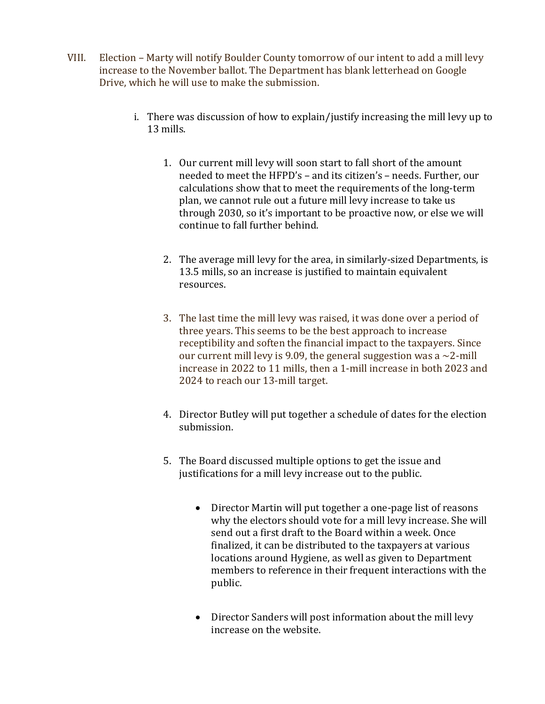- VIII. Election Marty will notify Boulder County tomorrow of our intent to add a mill levy increase to the November ballot. The Department has blank letterhead on Google Drive, which he will use to make the submission.
	- i. There was discussion of how to explain/justify increasing the mill levy up to 13 mills.
		- 1. Our current mill levy will soon start to fall short of the amount needed to meet the HFPD's – and its citizen's – needs. Further, our calculations show that to meet the requirements of the long-term plan, we cannot rule out a future mill levy increase to take us through 2030, so it's important to be proactive now, or else we will continue to fall further behind.
		- 2. The average mill levy for the area, in similarly-sized Departments, is 13.5 mills, so an increase is justified to maintain equivalent resources.
		- 3. The last time the mill levy was raised, it was done over a period of three years. This seems to be the best approach to increase receptibility and soften the financial impact to the taxpayers. Since our current mill levy is 9.09, the general suggestion was a  $\sim$ 2-mill increase in 2022 to 11 mills, then a 1-mill increase in both 2023 and 2024 to reach our 13-mill target.
		- 4. Director Butley will put together a schedule of dates for the election submission.
		- 5. The Board discussed multiple options to get the issue and justifications for a mill levy increase out to the public.
			- Director Martin will put together a one-page list of reasons why the electors should vote for a mill levy increase. She will send out a first draft to the Board within a week. Once finalized, it can be distributed to the taxpayers at various locations around Hygiene, as well as given to Department members to reference in their frequent interactions with the public.
			- Director Sanders will post information about the mill levy increase on the website.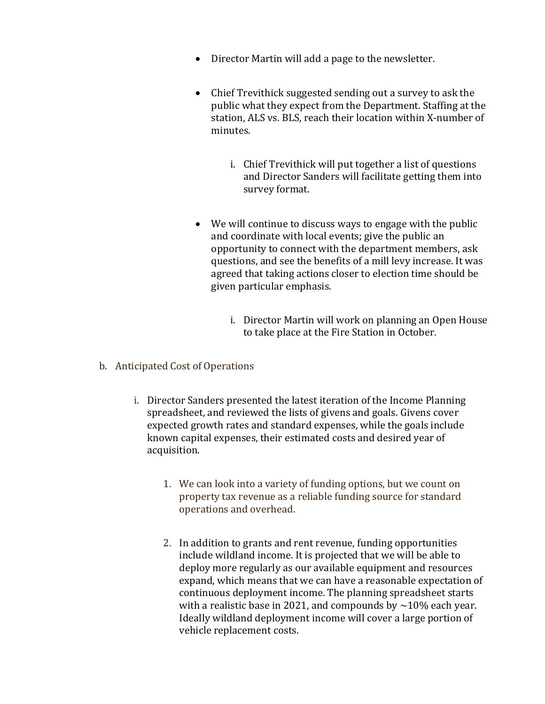- Director Martin will add a page to the newsletter.
- Chief Trevithick suggested sending out a survey to ask the public what they expect from the Department. Staffing at the station, ALS vs. BLS, reach their location within X-number of minutes.
	- i. Chief Trevithick will put together a list of questions and Director Sanders will facilitate getting them into survey format.
- We will continue to discuss ways to engage with the public and coordinate with local events; give the public an opportunity to connect with the department members, ask questions, and see the benefits of a mill levy increase. It was agreed that taking actions closer to election time should be given particular emphasis.
	- i. Director Martin will work on planning an Open House to take place at the Fire Station in October.
- b. Anticipated Cost of Operations
	- i. Director Sanders presented the latest iteration of the Income Planning spreadsheet, and reviewed the lists of givens and goals. Givens cover expected growth rates and standard expenses, while the goals include known capital expenses, their estimated costs and desired year of acquisition.
		- 1. We can look into a variety of funding options, but we count on property tax revenue as a reliable funding source for standard operations and overhead.
		- 2. In addition to grants and rent revenue, funding opportunities include wildland income. It is projected that we will be able to deploy more regularly as our available equipment and resources expand, which means that we can have a reasonable expectation of continuous deployment income. The planning spreadsheet starts with a realistic base in 2021, and compounds by  $\sim$ 10% each year. Ideally wildland deployment income will cover a large portion of vehicle replacement costs.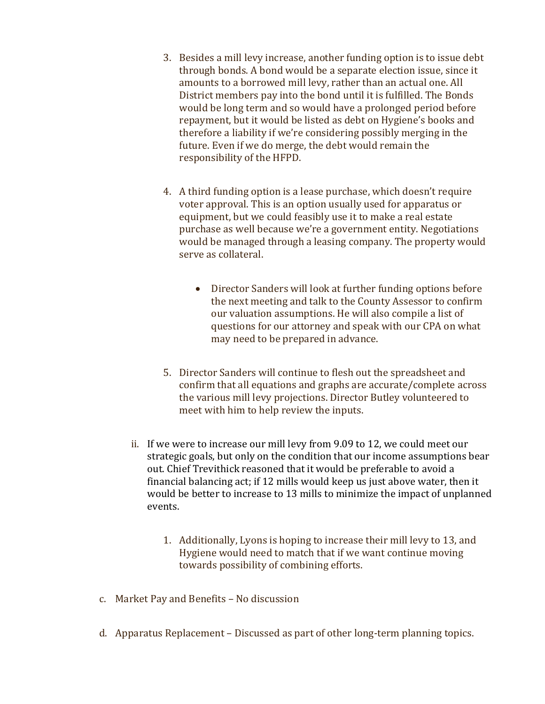- 3. Besides a mill levy increase, another funding option is to issue debt through bonds. A bond would be a separate election issue, since it amounts to a borrowed mill levy, rather than an actual one. All District members pay into the bond until it is fulfilled. The Bonds would be long term and so would have a prolonged period before repayment, but it would be listed as debt on Hygiene's books and therefore a liability if we're considering possibly merging in the future. Even if we do merge, the debt would remain the responsibility of the HFPD.
- 4. A third funding option is a lease purchase, which doesn't require voter approval. This is an option usually used for apparatus or equipment, but we could feasibly use it to make a real estate purchase as well because we're a government entity. Negotiations would be managed through a leasing company. The property would serve as collateral.
	- Director Sanders will look at further funding options before the next meeting and talk to the County Assessor to confirm our valuation assumptions. He will also compile a list of questions for our attorney and speak with our CPA on what may need to be prepared in advance.
- 5. Director Sanders will continue to flesh out the spreadsheet and confirm that all equations and graphs are accurate/complete across the various mill levy projections. Director Butley volunteered to meet with him to help review the inputs.
- ii. If we were to increase our mill levy from 9.09 to 12, we could meet our strategic goals, but only on the condition that our income assumptions bear out. Chief Trevithick reasoned that it would be preferable to avoid a financial balancing act; if 12 mills would keep us just above water, then it would be better to increase to 13 mills to minimize the impact of unplanned events.
	- 1. Additionally, Lyons is hoping to increase their mill levy to 13, and Hygiene would need to match that if we want continue moving towards possibility of combining efforts.
- c. Market Pay and Benefits No discussion
- d. Apparatus Replacement Discussed as part of other long-term planning topics.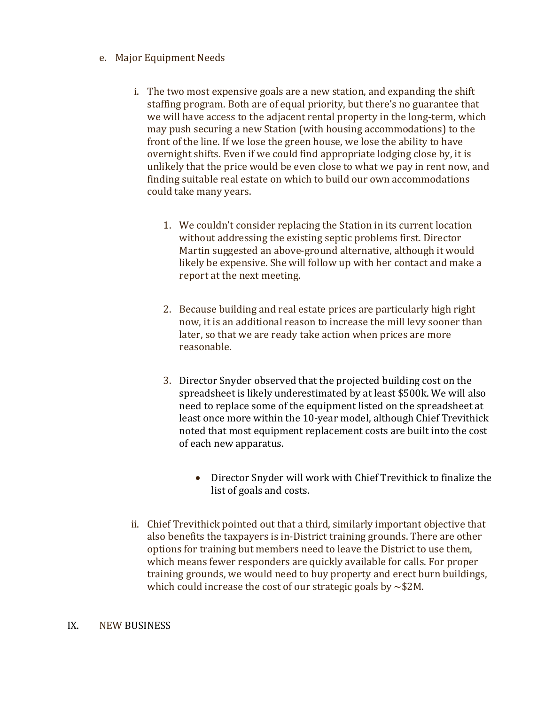## e. Major Equipment Needs

- i. The two most expensive goals are a new station, and expanding the shift staffing program. Both are of equal priority, but there's no guarantee that we will have access to the adjacent rental property in the long-term, which may push securing a new Station (with housing accommodations) to the front of the line. If we lose the green house, we lose the ability to have overnight shifts. Even if we could find appropriate lodging close by, it is unlikely that the price would be even close to what we pay in rent now, and finding suitable real estate on which to build our own accommodations could take many years.
	- 1. We couldn't consider replacing the Station in its current location without addressing the existing septic problems first. Director Martin suggested an above-ground alternative, although it would likely be expensive. She will follow up with her contact and make a report at the next meeting.
	- 2. Because building and real estate prices are particularly high right now, it is an additional reason to increase the mill levy sooner than later, so that we are ready take action when prices are more reasonable.
	- 3. Director Snyder observed that the projected building cost on the spreadsheet is likely underestimated by at least \$500k. We will also need to replace some of the equipment listed on the spreadsheet at least once more within the 10-year model, although Chief Trevithick noted that most equipment replacement costs are built into the cost of each new apparatus.
		- Director Snyder will work with Chief Trevithick to finalize the list of goals and costs.
- ii. Chief Trevithick pointed out that a third, similarly important objective that also benefits the taxpayers is in-District training grounds. There are other options for training but members need to leave the District to use them, which means fewer responders are quickly available for calls. For proper training grounds, we would need to buy property and erect burn buildings, which could increase the cost of our strategic goals by  $\sim$ \$2M.

#### IX. NEW BUSINESS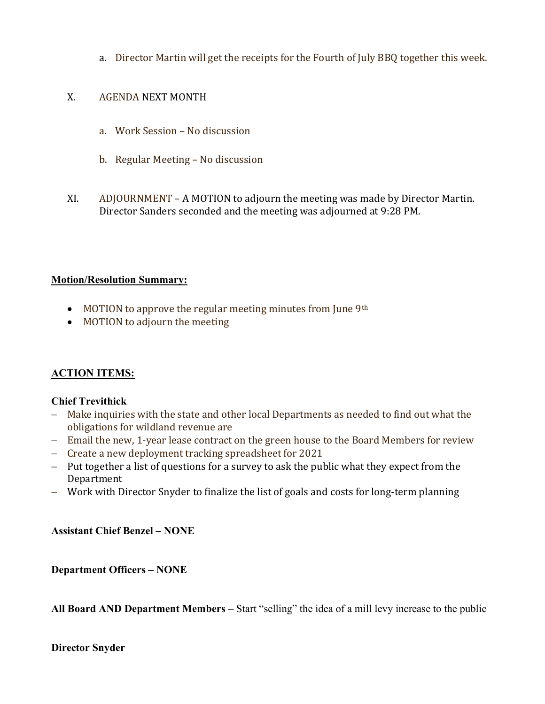a. Director Martin will get the receipts for the Fourth of July BBQ together this week.

## X. AGENDA NEXT MONTH

- a. Work Session No discussion
- b. Regular Meeting No discussion
- XI. ADJOURNMENT A MOTION to adjourn the meeting was made by Director Martin. Director Sanders seconded and the meeting was adjourned at 9:28 PM.

## Motion/Resolution Summary:

- MOTION to approve the regular meeting minutes from June 9<sup>th</sup>
- MOTION to adjourn the meeting

# ACTION ITEMS:

## Chief Trevithick

- Make inquiries with the state and other local Departments as needed to find out what the obligations for wildland revenue are
- Email the new, 1-year lease contract on the green house to the Board Members for review
- Create a new deployment tracking spreadsheet for 2021
- Put together a list of questions for a survey to ask the public what they expect from the Department
- Work with Director Snyder to finalize the list of goals and costs for long-term planning

Assistant Chief Benzel – NONE

Department Officers – NONE

All Board AND Department Members – Start "selling" the idea of a mill levy increase to the public